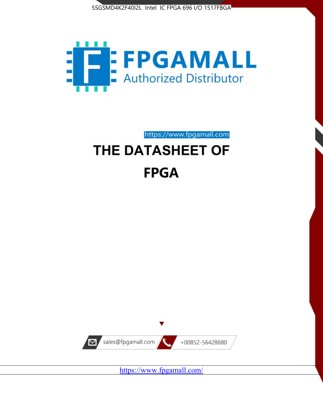



https://www.fpgamall.com

# THE DATASHEET OF **FPGA**



<https://www.fpgamall.com/>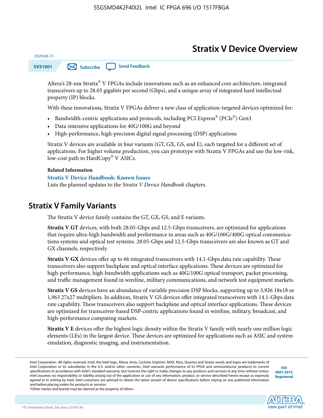### **Stratix V Device Overview**



Altera's 28-nm Stratix® V FPGAs include innovations such as an enhanced core architecture, integrated transceivers up to 28.05 gigabits per second (Gbps), and a unique array of integrated hard intellectual property (IP) blocks.

With these innovations, Stratix V FPGAs deliver a new class of application-targeted devices optimized for:

- Bandwidth-centric applications and protocols, including PCI Express® (PCIe®) Gen3
- Data-intensive applications for 40G/100G and beyond
- High-performance, high-precision digital signal processing (DSP) applications

Stratix V devices are available in four variants (GT, GX, GS, and E), each targeted for a different set of applications. For higher volume production, you can prototype with Stratix V FPGAs and use the low-risk, low-cost path to HardCopy® V ASICs.

#### **Related Information**

2020.06.15

#### **[Stratix V Device Handbook: Known Issues](http://www.altera.com/support/kdb/solutions/rd08242010_83.html)**

Lists the planned updates to the *Stratix V Device Handbook* chapters.

### **Stratix V Family Variants**

The Stratix V device family contains the GT, GX, GS, and E variants.

**Stratix V GT** devices, with both 28.05-Gbps and 12.5-Gbps transceivers, are optimized for applications that require ultra-high bandwidth and performance in areas such as 40G/100G/400G optical communica‐ tions systems and optical test systems. 28.05-Gbps and 12.5-Gbps transceivers are also known as GT and GX channels, respectively.

**Stratix V GX** devices offer up to 66 integrated transceivers with 14.1-Gbps data rate capability. These transceivers also support backplane and optical interface applications. These devices are optimized for high-performance, high-bandwidth applications such as 40G/100G optical transport, packet processing, and traffic management found in wireline, military communications, and network test equipment markets.

**Stratix V GS** devices have an abundance of variable precision DSP blocks, supporting up to 3,926 18x18 or 1,963 27x27 multipliers. In addition, Stratix V GS devices offer integrated transceivers with 14.1-Gbps data rate capability. These transceivers also support backplane and optical interface applications. These devices are optimized for transceiver-based DSP-centric applications found in wireline, military, broadcast, and high-performance computing markets.

**Stratix V E** devices offer the highest logic density within the Stratix V family with nearly one million logic elements (LEs) in the largest device. These devices are optimized for applications such as ASIC and system emulation, diagnostic imaging, and instrumentation.

**[ISO](http://www.altera.com/support/devices/reliability/certifications/rel-certifications.html) [9001:2015](http://www.altera.com/support/devices/reliability/certifications/rel-certifications.html) [Registered](http://www.altera.com/support/devices/reliability/certifications/rel-certifications.html)**



Intel Corporation. All rights reserved. Intel, the Intel logo, Altera, Arria, Cyclone, Enpirion, MAX, Nios, Quartus and Stratix words and logos are trademarks of Intel Corporation or its subsidiaries in the U.S. and/or other countries. Intel warrants performance of its FPGA and semiconductor products to current specifications in accordance with Intel's standard warranty, but reserves the right to make changes to any products and services at any time without notice. Intel assumes no responsibility or liability arising out of the application or use of any information, product, or service described herein except as expressly agreed to in writing by Intel. Intel customers are advised to obtain the latest version of device specifications before relying on any published information and before placing orders for products or services.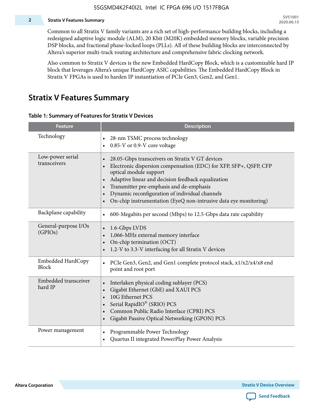#### **2 Stratix V Features Summary**

Common to all Stratix V family variants are a rich set of high-performance building blocks, including a redesigned adaptive logic module (ALM), 20 Kbit (M20K) embedded memory blocks, variable precision DSP blocks, and fractional phase-locked loops (PLLs). All of these building blocks are interconnected by Altera's superior multi-track routing architecture and comprehensive fabric clocking network.

Also common to Stratix V devices is the new Embedded HardCopy Block, which is a customizable hard IP block that leverages Altera's unique HardCopy ASIC capabilities. The Embedded HardCopy Block in Stratix V FPGAs is used to harden IP instantiation of PCIe Gen3, Gen2, and Gen1.

### **Stratix V Features Summary**

#### **Table 1: Summary of Features for Stratix V Devices**

| <b>Feature</b>                    | <b>Description</b>                                                                                                                                                                                                                                                                                                                                                                                                         |
|-----------------------------------|----------------------------------------------------------------------------------------------------------------------------------------------------------------------------------------------------------------------------------------------------------------------------------------------------------------------------------------------------------------------------------------------------------------------------|
| Technology                        | 28-nm TSMC process technology<br>0.85-V or 0.9-V core voltage                                                                                                                                                                                                                                                                                                                                                              |
| Low-power serial<br>transceivers  | 28.05-Gbps transceivers on Stratix V GT devices<br>$\bullet$<br>Electronic dispersion compensation (EDC) for XFP, SFP+, QSFP, CFP<br>optical module support<br>Adaptive linear and decision feedback equalization<br>$\bullet$<br>Transmitter pre-emphasis and de-emphasis<br>Dynamic reconfiguration of individual channels<br>$\bullet$<br>On-chip instrumentation (EyeQ non-intrusive data eye monitoring)<br>$\bullet$ |
| Backplane capability              | 600-Megabits per second (Mbps) to 12.5-Gbps data rate capability<br>$\bullet$                                                                                                                                                                                                                                                                                                                                              |
| General-purpose I/Os<br>(GPIOs)   | 1.6-Gbps LVDS<br>1,066-MHz external memory interface<br>$\bullet$<br>On-chip termination (OCT)<br>$\bullet$<br>1.2-V to 3.3-V interfacing for all Stratix V devices                                                                                                                                                                                                                                                        |
| Embedded HardCopy<br><b>Block</b> | PCIe Gen3, Gen2, and Gen1 complete protocol stack, x1/x2/x4/x8 end<br>$\bullet$<br>point and root port                                                                                                                                                                                                                                                                                                                     |
| Embedded transceiver<br>hard IP   | Interlaken physical coding sublayer (PCS)<br>$\bullet$<br>Gigabit Ethernet (GbE) and XAUI PCS<br>$\bullet$<br>10G Ethernet PCS<br>Serial RapidIO® (SRIO) PCS<br>$\bullet$<br>Common Public Radio Interface (CPRI) PCS<br>$\bullet$<br>Gigabit Passive Optical Networking (GPON) PCS<br>$\bullet$                                                                                                                           |
| Power management                  | Programmable Power Technology<br>$\bullet$<br>Quartus II integrated PowerPlay Power Analysis<br>$\bullet$                                                                                                                                                                                                                                                                                                                  |

**Altera Corporation** 

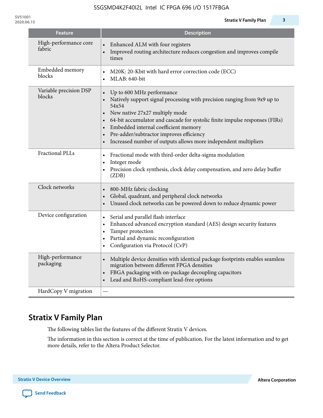| <b>Feature</b>                   | <b>Description</b>                                                                                                                                                                                                                                                                                                                                                                                               |
|----------------------------------|------------------------------------------------------------------------------------------------------------------------------------------------------------------------------------------------------------------------------------------------------------------------------------------------------------------------------------------------------------------------------------------------------------------|
| High-performance core<br>fabric  | Enhanced ALM with four registers<br>Improved routing architecture reduces congestion and improves compile<br>times                                                                                                                                                                                                                                                                                               |
| Embedded memory<br>blocks        | M20K: 20-Kbit with hard error correction code (ECC)<br>MLAB: 640-bit                                                                                                                                                                                                                                                                                                                                             |
| Variable precision DSP<br>blocks | Up to 600 MHz performance<br>Natively support signal processing with precision ranging from 9x9 up to<br>54x54<br>New native 27x27 multiply mode<br>64-bit accumulator and cascade for systolic finite impulse responses (FIRs)<br>Embedded internal coefficient memory<br>Pre-adder/subtractor improves efficiency<br>$\bullet$<br>Increased number of outputs allows more independent multipliers<br>$\bullet$ |
| <b>Fractional PLLs</b>           | Fractional mode with third-order delta-sigma modulation<br>$\bullet$<br>Integer mode<br>$\bullet$<br>Precision clock synthesis, clock delay compensation, and zero delay buffer<br>$\bullet$<br>(ZDB)                                                                                                                                                                                                            |
| Clock networks                   | 800-MHz fabric clocking<br>Global, quadrant, and peripheral clock networks<br>Unused clock networks can be powered down to reduce dynamic power                                                                                                                                                                                                                                                                  |
| Device configuration             | Serial and parallel flash interface<br>$\bullet$<br>Enhanced advanced encryption standard (AES) design security features<br>$\bullet$<br>Tamper protection<br>$\bullet$<br>Partial and dynamic reconfiguration<br>$\bullet$<br>Configuration via Protocol (CvP)<br>$\bullet$                                                                                                                                     |
| High-performance<br>packaging    | Multiple device densities with identical package footprints enables seamless<br>$\bullet$<br>migration between different FPGA densities<br>FBGA packaging with on-package decoupling capacitors<br>Lead and RoHS-compliant lead-free options                                                                                                                                                                     |
| HardCopy V migration             |                                                                                                                                                                                                                                                                                                                                                                                                                  |

## **Stratix V Family Plan**

The following tables list the features of the different Stratix V devices.

The information in this section is correct at the time of publication. For the latest information and to get more details, refer to the Altera Product Selector.

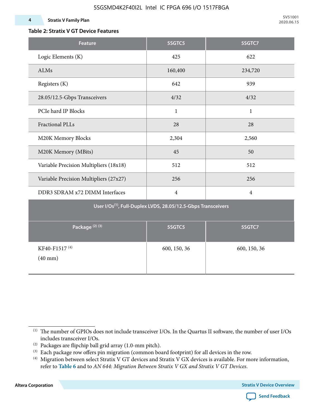### **Table 2: Stratix V GT Device Features**

| <b>Feature</b>                                                            | 5SGTC5         | 5SGTC7         |  |  |  |  |  |  |  |
|---------------------------------------------------------------------------|----------------|----------------|--|--|--|--|--|--|--|
| Logic Elements (K)                                                        | 425            | 622            |  |  |  |  |  |  |  |
| ALMs                                                                      | 160,400        | 234,720        |  |  |  |  |  |  |  |
| Registers (K)                                                             | 642            | 939            |  |  |  |  |  |  |  |
| 28.05/12.5-Gbps Transceivers                                              | 4/32           | 4/32           |  |  |  |  |  |  |  |
| PCIe hard IP Blocks                                                       | $\mathbf{1}$   | $\mathbf{1}$   |  |  |  |  |  |  |  |
| <b>Fractional PLLs</b>                                                    | 28             | 28             |  |  |  |  |  |  |  |
| M20K Memory Blocks                                                        | 2,304          | 2,560          |  |  |  |  |  |  |  |
| M20K Memory (MBits)                                                       | 45             | 50             |  |  |  |  |  |  |  |
| Variable Precision Multipliers (18x18)                                    | 512            | 512            |  |  |  |  |  |  |  |
| Variable Precision Multipliers (27x27)                                    | 256            | 256            |  |  |  |  |  |  |  |
| DDR3 SDRAM x72 DIMM Interfaces                                            | $\overline{4}$ | $\overline{4}$ |  |  |  |  |  |  |  |
| User I/Os <sup>(1)</sup> , Full-Duplex LVDS, 28.05/12.5-Gbps Transceivers |                |                |  |  |  |  |  |  |  |
| Package <sup>(2)(3)</sup>                                                 | 5SGTC5         | 5SGTC7         |  |  |  |  |  |  |  |
| KF40-F1517 <sup>(4)</sup><br>$(40$ mm $)$                                 | 600, 150, 36   | 600, 150, 36   |  |  |  |  |  |  |  |

**Altera Corporation** 



<sup>(1)</sup> The number of GPIOs does not include transceiver I/Os. In the Quartus II software, the number of user I/Os includes transceiver I/Os.

 $^{(2)}$  Packages are flipchip ball grid array (1.0-mm pitch).

<sup>(3)</sup> Each package row offers pin migration (common board footprint) for all devices in the row.

<sup>(4)</sup> Migration between select Stratix V GT devices and Stratix V GX devices is available. For more information, refer to **Table 6** and to *AN 644: Migration Between Stratix V GX and Stratix V GT Devices*.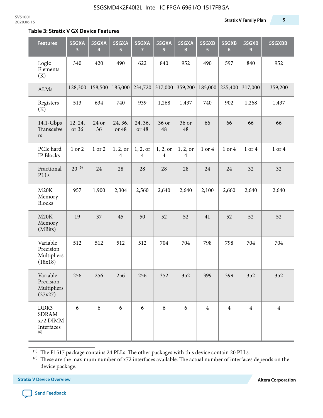#### **Table 3: Stratix V GX Device Features**

| <b>Features</b>                                       | 5SGXA<br>3       | 5SGXA<br>4  | 5SGXA<br>5                 | 5SGXA<br>$\overline{7}$    | 5SGXA<br>9                 | 5SGXA<br>B                 | 5SGXB<br>5     | 5SGXB<br>$6\phantom{1}6$ | 5SGXB<br>9     | 5SGXBB         |
|-------------------------------------------------------|------------------|-------------|----------------------------|----------------------------|----------------------------|----------------------------|----------------|--------------------------|----------------|----------------|
| Logic<br>Elements<br>(K)                              | 340              | 420         | 490                        | 622                        | 840                        | 952                        | 490            | 597                      | 840            | 952            |
| ALMs                                                  | 128,300          | 158,500     | 185,000                    | 234,720                    | 317,000                    | 359,200                    | 185,000        | 225,400                  | 317,000        | 359,200        |
| Registers<br>(K)                                      | 513              | 634         | 740                        | 939                        | 1,268                      | 1,437                      | 740            | 902                      | 1,268          | 1,437          |
| 14.1-Gbps<br>Transceive<br>rs                         | 12, 24,<br>or 36 | 24 or<br>36 | 24, 36,<br>or 48           | 24, 36,<br>or 48           | 36 or<br>48                | 36 or<br>48                | 66             | 66                       | 66             | 66             |
| PCIe hard<br>IP Blocks                                | 1 or 2           | 1 or 2      | 1, 2, or<br>$\overline{4}$ | 1, 2, or<br>$\overline{4}$ | 1, 2, or<br>$\overline{4}$ | 1, 2, or<br>$\overline{4}$ | 1 or 4         | 1 or 4                   | 1 or 4         | 1 or 4         |
| Fractional<br>PLLs                                    | $20^{(5)}$       | 24          | 28                         | 28                         | 28                         | 28                         | 24             | 24                       | 32             | 32             |
| M20K<br>Memory<br><b>Blocks</b>                       | 957              | 1,900       | 2,304                      | 2,560                      | 2,640                      | 2,640                      | 2,100          | 2,660                    | 2,640          | 2,640          |
| M20K<br>Memory<br>(MBits)                             | 19               | 37          | 45                         | 50                         | 52                         | 52                         | 41             | 52                       | 52             | 52             |
| Variable<br>Precision<br>Multipliers<br>(18x18)       | 512              | 512         | 512                        | 512                        | 704                        | 704                        | 798            | 798                      | 704            | 704            |
| Variable<br>Precision<br>Multipliers<br>(27x27)       | 256              | 256         | 256                        | 256                        | 352                        | 352                        | 399            | 399                      | 352            | 352            |
| DDR3<br><b>SDRAM</b><br>x72 DIMM<br>Interfaces<br>(6) | 6                | 6           | 6                          | 6                          | 6                          | 6                          | $\overline{4}$ | $\overline{4}$           | $\overline{4}$ | $\overline{4}$ |

 $^{\left(5\right)}$  The F1517 package contains 24 PLLs. The other packages with this device contain 20 PLLs.

(6) These are the maximum number of x72 interfaces available. The actual number of interfaces depends on the device package.

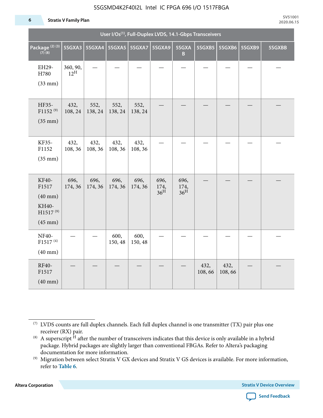#### 5SGSMD4K2F40I2L Intel IC FPGA 696 I/O 1517FBGA

#### **6 Stratix V Family Plan**

|                                                                                      | User I/Os <sup>(1)</sup> , Full-Duplex LVDS, 14.1-Gbps Transceivers |                          |                 |                 |                                 |                                 |                |                |        |        |  |  |
|--------------------------------------------------------------------------------------|---------------------------------------------------------------------|--------------------------|-----------------|-----------------|---------------------------------|---------------------------------|----------------|----------------|--------|--------|--|--|
| Package <sup>(2)(3)</sup><br>$(7)$ (8)                                               | 5SGXA3                                                              | 5SGXA4   5SGXA5   5SGXA7 |                 |                 | 5SGXA9                          | 5SGXA<br>B                      | 5SGXB5         | 5SGXB6         | 5SGXB9 | 5SGXBB |  |  |
| EH29-<br>H780<br>$(33$ mm $)$                                                        | 360, 90,<br>$12^{\text{H}}$                                         |                          |                 |                 |                                 |                                 |                |                |        |        |  |  |
| HF35-<br>$F1152^{(9)}$<br>$(35$ mm $)$                                               | 432,<br>108, 24                                                     | 552,<br>138, 24          | 552,<br>138, 24 | 552,<br>138, 24 |                                 |                                 |                |                |        |        |  |  |
| KF35-<br>F1152<br>$(35$ mm $)$                                                       | 432,<br>108, 36                                                     | 432,<br>108, 36          | 432,<br>108, 36 | 432,<br>108, 36 |                                 |                                 |                |                |        |        |  |  |
| KF40-<br>F1517<br>$(40$ mm $)$<br>KH40-<br>H1517 <sup>(9)</sup><br>$(45 \text{ mm})$ | 696,<br>174, 36                                                     | 696,<br>174, 36          | 696,<br>174, 36 | 696,<br>174, 36 | 696,<br>174,<br>36 <sup>H</sup> | 696,<br>174,<br>36 <sup>H</sup> |                |                |        |        |  |  |
| NF40-<br>F1517 <sup>(4)</sup><br>$(40$ mm $)$                                        |                                                                     |                          | 600,<br>150, 48 | 600,<br>150, 48 |                                 |                                 |                |                |        |        |  |  |
| RF40-<br>F1517<br>$(40$ mm $)$                                                       |                                                                     |                          |                 |                 |                                 |                                 | 432,<br>108,66 | 432,<br>108,66 |        |        |  |  |

**Altera Corporation** 



<sup>(7)</sup> LVDS counts are full duplex channels. Each full duplex channel is one transmitter (TX) pair plus one receiver (RX) pair.

<sup>(8)</sup> A superscript  $H$  after the number of transceivers indicates that this device is only available in a hybrid package. Hybrid packages are slightly larger than conventional FBGAs. Refer to Altera's packaging documentation for more information.

<sup>(9)</sup> Migration between select Stratix V GX devices and Stratix V GS devices is available. For more information, refer to **Table 6**.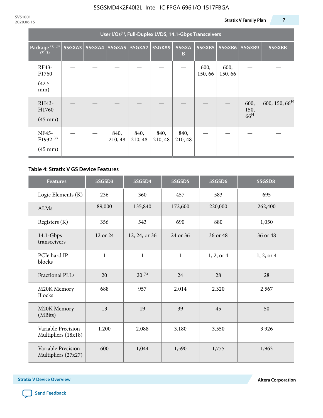|                                                    | User I/Os <sup>(1)</sup> , Full-Duplex LVDS, 14.1-Gbps Transceivers |  |                 |                          |                 |                 |                 |                 |                                 |                           |  |  |
|----------------------------------------------------|---------------------------------------------------------------------|--|-----------------|--------------------------|-----------------|-----------------|-----------------|-----------------|---------------------------------|---------------------------|--|--|
| Package <sup>(2)(3)</sup><br>$(7)$ $(8)$           | 5SGXA3                                                              |  |                 | 5SGXA4   5SGXA5   5SGXA7 | <b>5SGXA9</b>   | 5SGXA<br>B      | 5SGXB5          | <b>5SGXB6</b>   | 5SGXB9                          | 5SGXBB                    |  |  |
| RF43-<br>F1760<br>(42.5)<br>mm)                    |                                                                     |  |                 |                          |                 |                 | 600,<br>150, 66 | 600,<br>150, 66 |                                 |                           |  |  |
| RH43-<br>H1760<br>$(45 \text{ mm})$                |                                                                     |  |                 |                          |                 |                 |                 |                 | 600,<br>150,<br>66 <sup>H</sup> | 600, 150, 66 <sup>H</sup> |  |  |
| NF45-<br>F1932 <sup>(9)</sup><br>$(45 \text{ mm})$ |                                                                     |  | 840,<br>210, 48 | 840,<br>210, 48          | 840,<br>210, 48 | 840,<br>210, 48 |                 |                 |                                 |                           |  |  |

#### **Table 4: Stratix V GS Device Features**

| <b>Features</b>                           | 5SGSD3       | 5SGSD4        | 5SGSD5       | 5SGSD6     | 5SGSD8     |
|-------------------------------------------|--------------|---------------|--------------|------------|------------|
| Logic Elements (K)                        | 236          | 360           | 457          | 583        | 695        |
| <b>ALMs</b>                               | 89,000       | 135,840       | 172,600      | 220,000    | 262,400    |
| Registers (K)                             | 356          | 543           | 690          | 880        | 1,050      |
| $14.1$ -Gbps<br>transceivers              | 12 or 24     | 12, 24, or 36 | 24 or 36     | 36 or 48   | 36 or 48   |
| PCIe hard IP<br>blocks                    | $\mathbf{1}$ | $\mathbf{1}$  | $\mathbf{1}$ | 1, 2, or 4 | 1, 2, or 4 |
| <b>Fractional PLLs</b>                    | 20           | $20^{(5)}$    | 24           | 28         | 28         |
| M20K Memory<br><b>Blocks</b>              | 688          | 957           | 2,014        | 2,320      | 2,567      |
| M20K Memory<br>(MBits)                    | 13           | 19            | 39           | 45         | 50         |
| Variable Precision<br>Multipliers (18x18) | 1,200        | 2,088         | 3,180        | 3,550      | 3,926      |
| Variable Precision<br>Multipliers (27x27) | 600          | 1,044         | 1,590        | 1,775      | 1,963      |

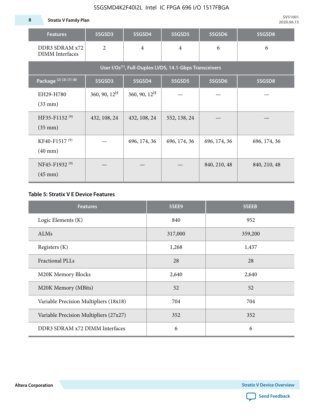**8 Stratix V Family Plan**

| <b>Features</b>                                                     | 5SGSD3                   | 5SGSD4          | 5SGSD5         | 5SGSD6       | 5SGSD8       |  |  |  |  |  |  |
|---------------------------------------------------------------------|--------------------------|-----------------|----------------|--------------|--------------|--|--|--|--|--|--|
| DDR3 SDRAM x72<br><b>DIMM</b> Interfaces                            | $\overline{2}$           | $\overline{4}$  | $\overline{4}$ | 6            | 6            |  |  |  |  |  |  |
| User I/Os <sup>(1)</sup> , Full-Duplex LVDS, 14.1-Gbps Transceivers |                          |                 |                |              |              |  |  |  |  |  |  |
| Package <sup>(2)</sup> (3)(7)(8)                                    | 5SGSD3                   | 5SGSD4          | 5SGSD5         | 5SGSD6       | 5SGSD8       |  |  |  |  |  |  |
| EH29-H780<br>$(33$ mm $)$                                           | $360, 90, 12^{\text{H}}$ | 360, 90, $12^H$ |                |              |              |  |  |  |  |  |  |
| HF35-F1152 <sup>(9)</sup><br>$(35 \text{ mm})$                      | 432, 108, 24             | 432, 108, 24    | 552, 138, 24   |              |              |  |  |  |  |  |  |
| KF40-F1517 <sup>(9)</sup><br>$(40 \text{ mm})$                      |                          | 696, 174, 36    | 696, 174, 36   | 696, 174, 36 | 696, 174, 36 |  |  |  |  |  |  |
| NF45-F1932 <sup>(9)</sup><br>$(45 \text{ mm})$                      |                          |                 |                | 840, 210, 48 | 840, 210, 48 |  |  |  |  |  |  |

#### **Table 5: Stratix V E Device Features**

| <b>Features</b>                        | 5SEE9   | 5SEEB   |
|----------------------------------------|---------|---------|
| Logic Elements (K)                     | 840     | 952     |
| <b>ALMs</b>                            | 317,000 | 359,200 |
| Registers (K)                          | 1,268   | 1,437   |
| Fractional PLLs                        | 28      | 28      |
| M20K Memory Blocks                     | 2,640   | 2,640   |
| M20K Memory (MBits)                    | 52      | 52      |
| Variable Precision Multipliers (18x18) | 704     | 704     |
| Variable Precision Multipliers (27x27) | 352     | 352     |
| DDR3 SDRAM x72 DIMM Interfaces         | 6       | 6       |

**Altera Corporation** 

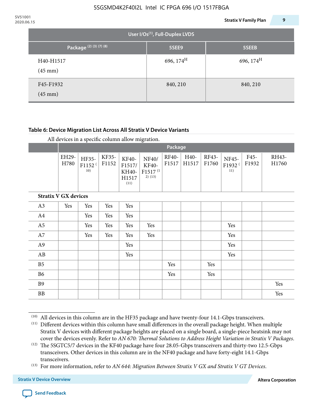| 2020.06.15 |                                  |                                       | <b>Stratix V Family Plan</b> | 9 |
|------------|----------------------------------|---------------------------------------|------------------------------|---|
|            |                                  | User I/Os $^{(1)}$ , Full-Duplex LVDS |                              |   |
|            | Package <sup>(2)</sup> (3)(7)(8) | 5SEE9                                 | 5SEEB                        |   |
|            | H40-H1517<br>$(45 \text{ mm})$   | 696, $174^{\text{H}}$                 | 696, $174^H$                 |   |
|            | F45-F1932<br>$(45 \text{ mm})$   | 840, 210                              | 840, 210                     |   |

#### **Table 6: Device Migration List Across All Stratix V Device Variants**

|                             |               | Package                            |                |                                           |                                                           |                |               |                |                                    |               |                |
|-----------------------------|---------------|------------------------------------|----------------|-------------------------------------------|-----------------------------------------------------------|----------------|---------------|----------------|------------------------------------|---------------|----------------|
|                             | EH29-<br>H780 | HF35-<br>F1152 <sup>(</sup><br>10) | KF35-<br>F1152 | KF40-<br>F1517/<br>KH40-<br>H1517<br>(11) | NF40/<br><b>KF40-</b><br>F1517 <sup>(1</sup><br>$2)$ (13) | RF40-<br>F1517 | H40-<br>H1517 | RF43-<br>F1760 | NF45-<br>F1932 <sup>(</sup><br>11) | F45-<br>F1932 | RH43-<br>H1760 |
| <b>Stratix V GX devices</b> |               |                                    |                |                                           |                                                           |                |               |                |                                    |               |                |
| A3                          | Yes           | Yes                                | Yes            | Yes                                       |                                                           |                |               |                |                                    |               |                |
| A4                          |               | Yes                                | Yes            | Yes                                       |                                                           |                |               |                |                                    |               |                |
| A <sub>5</sub>              |               | Yes                                | Yes            | Yes                                       | Yes                                                       |                |               |                | Yes                                |               |                |
| A7                          |               | Yes                                | Yes            | Yes                                       | Yes                                                       |                |               |                | Yes                                |               |                |
| A <sub>9</sub>              |               |                                    |                | Yes                                       |                                                           |                |               |                | Yes                                |               |                |
| AB                          |               |                                    |                | Yes                                       |                                                           |                |               |                | Yes                                |               |                |
| B <sub>5</sub>              |               |                                    |                |                                           |                                                           | Yes            |               | Yes            |                                    |               |                |
| B <sub>6</sub>              |               |                                    |                |                                           |                                                           | Yes            |               | Yes            |                                    |               |                |
| <b>B9</b>                   |               |                                    |                |                                           |                                                           |                |               |                |                                    |               | Yes            |
| <b>BB</b>                   |               |                                    |                |                                           |                                                           |                |               |                |                                    |               | Yes            |

 $(10)$  All devices in this column are in the HF35 package and have twenty-four 14.1-Gbps transceivers.



<sup>(11)</sup> Different devices within this column have small differences in the overall package height. When multiple Stratix V devices with different package heights are placed on a single board, a single-piece heatsink may not cover the devices evenly. Refer to *AN 670: Thermal Solutions to Address Height Variation in Stratix V Packages*.

<sup>(12)</sup> The 5SGTC5/7 devices in the KF40 package have four 28.05-Gbps transceivers and thirty-two 12.5-Gbps transceivers. Other devices in this column are in the NF40 package and have forty-eight 14.1-Gbps transceivers.

<sup>(13)</sup> For more information, refer to *AN 644: Migration Between Stratix V GX and Stratix V GT Devices*.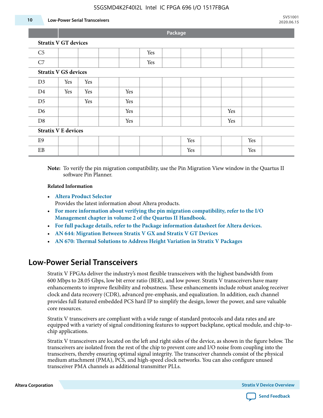#### 5SGSMD4K2F40I2L Intel IC FPGA 696 I/O 1517FBGA

#### **10 Low-Power Serial Transceivers**

**Package**

| <b>Stratix V GT devices</b> |                             |     |  |     |     |  |     |  |     |     |  |
|-----------------------------|-----------------------------|-----|--|-----|-----|--|-----|--|-----|-----|--|
| C <sub>5</sub>              |                             |     |  |     | Yes |  |     |  |     |     |  |
| C7                          |                             |     |  |     | Yes |  |     |  |     |     |  |
|                             | <b>Stratix V GS devices</b> |     |  |     |     |  |     |  |     |     |  |
| D3                          | Yes                         | Yes |  |     |     |  |     |  |     |     |  |
| D <sub>4</sub>              | Yes                         | Yes |  | Yes |     |  |     |  |     |     |  |
| D <sub>5</sub>              |                             | Yes |  | Yes |     |  |     |  |     |     |  |
| D <sub>6</sub>              |                             |     |  | Yes |     |  |     |  | Yes |     |  |
| D <sub>8</sub>              |                             |     |  | Yes |     |  |     |  | Yes |     |  |
| <b>Stratix V E devices</b>  |                             |     |  |     |     |  |     |  |     |     |  |
| E9                          |                             |     |  |     |     |  | Yes |  |     | Yes |  |
| EB                          |                             |     |  |     |     |  | Yes |  |     | Yes |  |

**Note:** To verify the pin migration compatibility, use the Pin Migration View window in the Quartus II software Pin Planner.

#### **Related Information**

• **[Altera Product Selector](http://www.altera.com/products/selector/psg-selector.html#)**

Provides the latest information about Altera products.

- **[For more information about verifying the pin migration compatibility, refer to the I/O](http://www.altera.com/literature/hb/qts/qts_qii52013.pdf) [Management chapter in volume 2 of the Quartus II Handbook.](http://www.altera.com/literature/hb/qts/qts_qii52013.pdf)**
- **[For full package details, refer to the Package information datasheet for Altera devices.](http://www.altera.com/support/devices/packaging/specifications/pkg-pin/spe-index.jsp)**
- **[AN 644: Migration Between Stratix V GX and Stratix V GT Devices](http://www.altera.com/literature/an/an644.pdf)**
- **[AN 670: Thermal Solutions to Address Height Variation in Stratix V Packages](http://www.altera.com/literature/an/an670.pdf)**

### **Low-Power Serial Transceivers**

Stratix V FPGAs deliver the industry's most flexible transceivers with the highest bandwidth from 600 Mbps to 28.05 Gbps, low bit error ratio (BER), and low power. Stratix V transceivers have many enhancements to improve flexibility and robustness. These enhancements include robust analog receiver clock and data recovery (CDR), advanced pre-emphasis, and equalization. In addition, each channel provides full featured embedded PCS hard IP to simplify the design, lower the power, and save valuable core resources.

Stratix V transceivers are compliant with a wide range of standard protocols and data rates and are equipped with a variety of signal conditioning features to support backplane, optical module, and chip-tochip applications.

Stratix V transceivers are located on the left and right sides of the device, as shown in the figure below. The transceivers are isolated from the rest of the chip to prevent core and I/O noise from coupling into the transceivers, thereby ensuring optimal signal integrity. The transceiver channels consist of the physical medium attachment (PMA), PCS, and high-speed clock networks. You can also configure unused transceiver PMA channels as additional transmitter PLLs.

**Altera Corporation Stratix V Device Overview**

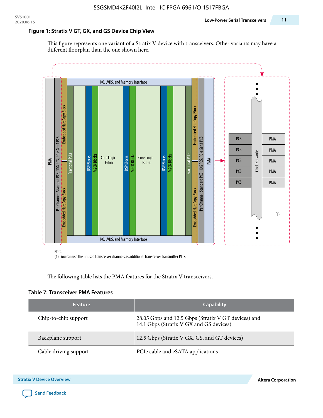#### **Figure 1: Stratix V GT, GX, and GS Device Chip View**

This figure represents one variant of a Stratix V device with transceivers. Other variants may have a different floorplan than the one shown here.



(1) You can use the unused transceiver channels as additional transceiver transmitter PLLs.

The following table lists the PMA features for the Stratix V transceivers.

#### **Table 7: Transceiver PMA Features**

| <b>Feature</b>        | <b>Capability</b>                                                                              |
|-----------------------|------------------------------------------------------------------------------------------------|
| Chip-to-chip support  | 28.05 Gbps and 12.5 Gbps (Stratix V GT devices) and<br>14.1 Gbps (Stratix V GX and GS devices) |
| Backplane support     | 12.5 Gbps (Stratix V GX, GS, and GT devices)                                                   |
| Cable driving support | PCIe cable and eSATA applications                                                              |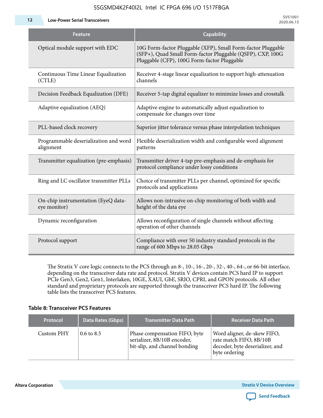**12 Low-Power Serial Transceivers**

| Feature                                             | <b>Capability</b>                                                                                                                                                         |
|-----------------------------------------------------|---------------------------------------------------------------------------------------------------------------------------------------------------------------------------|
| Optical module support with EDC                     | 10G Form-factor Pluggable (XFP), Small Form-factor Pluggable<br>(SFP+), Quad Small Form-factor Pluggable (QSFP), CXP, 100G<br>Pluggable (CFP), 100G Form-factor Pluggable |
| Continuous Time Linear Equalization<br>(CTLE)       | Receiver 4-stage linear equalization to support high-attenuation<br>channels                                                                                              |
| Decision Feedback Equalization (DFE)                | Receiver 5-tap digital equalizer to minimize losses and crosstalk                                                                                                         |
| Adaptive equalization (AEQ)                         | Adaptive engine to automatically adjust equalization to<br>compensate for changes over time                                                                               |
| PLL-based clock recovery                            | Superior jitter tolerance versus phase interpolation techniques                                                                                                           |
| Programmable deserialization and word<br>alignment  | Flexible deserialization width and configurable word alignment<br>patterns                                                                                                |
| Transmitter equalization (pre-emphasis)             | Transmitter driver 4-tap pre-emphasis and de-emphasis for<br>protocol compliance under lossy conditions                                                                   |
| Ring and LC oscillator transmitter PLLs             | Choice of transmitter PLLs per channel, optimized for specific<br>protocols and applications                                                                              |
| On-chip instrumentation (EyeQ data-<br>eye monitor) | Allows non-intrusive on-chip monitoring of both width and<br>height of the data eye                                                                                       |
| Dynamic reconfiguration                             | Allows reconfiguration of single channels without affecting<br>operation of other channels                                                                                |
| Protocol support                                    | Compliance with over 50 industry standard protocols in the<br>range of 600 Mbps to 28.05 Gbps                                                                             |

The Stratix V core logic connects to the PCS through an 8-, 10-, 16-, 20-, 32-, 40-, 64-, or 66-bit interface, depending on the transceiver data rate and protocol. Stratix V devices contain PCS hard IP to support PCIe Gen3, Gen2, Gen1, Interlaken, 10GE, XAUI, GbE, SRIO, CPRI, and GPON protocols. All other standard and proprietary protocols are supported through the transceiver PCS hard IP. The following table lists the transceiver PCS features.

#### **Table 8: Transceiver PCS Features**

| <b>Protocol</b> | Data Rates (Gbps)     | <b>Transmitter Data Path</b>                                                                  | <b>Receiver Data Path</b>                                                                                  |
|-----------------|-----------------------|-----------------------------------------------------------------------------------------------|------------------------------------------------------------------------------------------------------------|
| Custom PHY      | $0.6 \text{ to } 8.5$ | Phase compensation FIFO, byte<br>serializer, 8B/10B encoder,<br>bit-slip, and channel bonding | Word aligner, de-skew FIFO,<br>rate match FIFO, 8B/10B<br>decoder, byte deserializer, and<br>byte ordering |

**Altera Corporation** 

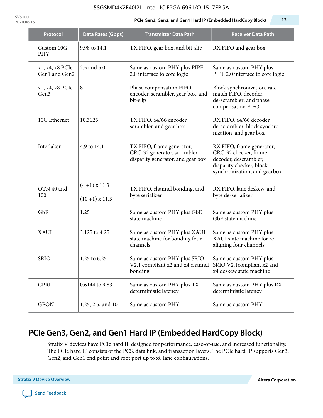#### 5SGSMD4K2F40I2L Intel IC FPGA 696 I/O 1517FBGA

**SV51001**

#### **2020.06.15 PCIe Gen3, Gen2, and Gen1 Hard IP (Embedded HardCopy Block) 13**

| Protocol                         | Data Rates (Gbps) | <b>Transmitter Data Path</b>                                                                   | <b>Receiver Data Path</b>                                                                                                               |  |
|----------------------------------|-------------------|------------------------------------------------------------------------------------------------|-----------------------------------------------------------------------------------------------------------------------------------------|--|
| Custom 10G<br><b>PHY</b>         | 9.98 to 14.1      | TX FIFO, gear box, and bit-slip                                                                | RX FIFO and gear box                                                                                                                    |  |
| x1, x4, x8 PCIe<br>Gen1 and Gen2 | 2.5 and 5.0       | Same as custom PHY plus PIPE<br>2.0 interface to core logic                                    | Same as custom PHY plus<br>PIPE 2.0 interface to core logic                                                                             |  |
| x1, x4, x8 PCIe<br>Gen3          | 8                 | Phase compensation FIFO,<br>encoder, scrambler, gear box, and<br>bit-slip                      | Block synchronization, rate<br>match FIFO, decoder,<br>de-scrambler, and phase<br>compensation FIFO                                     |  |
| 10G Ethernet                     | 10.3125           | TX FIFO, 64/66 encoder,<br>scrambler, and gear box                                             | RX FIFO, 64/66 decoder,<br>de-scrambler, block synchro-<br>nization, and gear box                                                       |  |
| Interlaken                       | 4.9 to 14.1       | TX FIFO, frame generator,<br>CRC-32 generator, scrambler,<br>disparity generator, and gear box | RX FIFO, frame generator,<br>CRC-32 checker, frame<br>decoder, descrambler,<br>disparity checker, block<br>synchronization, and gearbox |  |
| OTN 40 and                       | $(4+1)$ x 11.3    | TX FIFO, channel bonding, and                                                                  | RX FIFO, lane deskew, and                                                                                                               |  |
| 100                              | $(10+1)$ x 11.3   | byte serializer                                                                                | byte de-serializer                                                                                                                      |  |
| GbE                              | 1.25              | Same as custom PHY plus GbE<br>state machine                                                   | Same as custom PHY plus<br>GbE state machine                                                                                            |  |
| <b>XAUI</b>                      | 3.125 to 4.25     | Same as custom PHY plus XAUI<br>state machine for bonding four<br>channels                     | Same as custom PHY plus<br>XAUI state machine for re-<br>aligning four channels                                                         |  |
| <b>SRIO</b>                      | 1.25 to 6.25      | Same as custom PHY plus SRIO<br>V2.1 compliant x2 and x4 channel<br>bonding                    | Same as custom PHY plus<br>SRIO V2.1compliant x2 and<br>x4 deskew state machine                                                         |  |
| <b>CPRI</b>                      | 0.6144 to 9.83    | Same as custom PHY plus TX<br>deterministic latency                                            | Same as custom PHY plus RX<br>deterministic latency                                                                                     |  |
| <b>GPON</b>                      | 1.25, 2.5, and 10 | Same as custom PHY                                                                             | Same as custom PHY                                                                                                                      |  |

### **PCIe Gen3, Gen2, and Gen1 Hard IP (Embedded HardCopy Block)**

Stratix V devices have PCIe hard IP designed for performance, ease-of-use, and increased functionality. The PCIe hard IP consists of the PCS, data link, and transaction layers. The PCIe hard IP supports Gen3, Gen2, and Gen1 end point and root port up to x8 lane configurations.

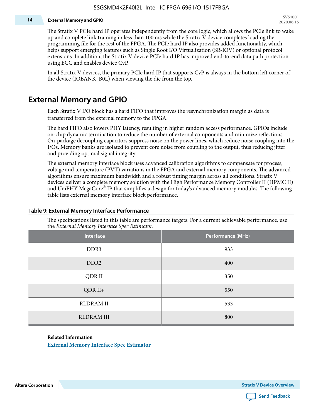#### **14 External Memory and GPIO**

The Stratix V PCIe hard IP operates independently from the core logic, which allows the PCIe link to wake up and complete link training in less than 100 ms while the Stratix V device completes loading the programming file for the rest of the FPGA. The PCIe hard IP also provides added functionality, which helps support emerging features such as Single Root I/O Virtualization (SR-IOV) or optional protocol extensions. In addition, the Stratix V device PCIe hard IP has improved end-to-end data path protection using ECC and enables device CvP.

In all Stratix V devices, the primary PCIe hard IP that supports CvP is always in the bottom left corner of the device (IOBANK\_B0L) when viewing the die from the top.

### **External Memory and GPIO**

Each Stratix V I/O block has a hard FIFO that improves the resynchronization margin as data is transferred from the external memory to the FPGA.

The hard FIFO also lowers PHY latency, resulting in higher random access performance. GPIOs include on-chip dynamic termination to reduce the number of external components and minimize reflections. On-package decoupling capacitors suppress noise on the power lines, which reduce noise coupling into the I/Os. Memory banks are isolated to prevent core noise from coupling to the output, thus reducing jitter and providing optimal signal integrity.

The external memory interface block uses advanced calibration algorithms to compensate for process, voltage and temperature (PVT) variations in the FPGA and external memory components. The advanced algorithms ensure maximum bandwidth and a robust timing margin across all conditions. Stratix V devices deliver a complete memory solution with the High Performance Memory Controller II (HPMC II) and UniPHY MegaCore® IP that simplifies a design for today's advanced memory modules. The following table lists external memory interface block performance.

| Interface         | Performance (MHz) |
|-------------------|-------------------|
| DDR3              | 933               |
| DDR <sub>2</sub>  | 400               |
| QDR II            | 350               |
| $QDR II+$         | 550               |
| <b>RLDRAM II</b>  | 533               |
| <b>RLDRAM III</b> | 800               |

#### **Table 9: External Memory Interface Performance**

The specifications listed in this table are performance targets. For a current achievable performance, use the *External Memory Interface Spec Estimator*.

#### **Related Information**

**[External Memory Interface Spec Estimator](http://www.altera.com/technology/memory/estimator/mem-emif-index.html)**

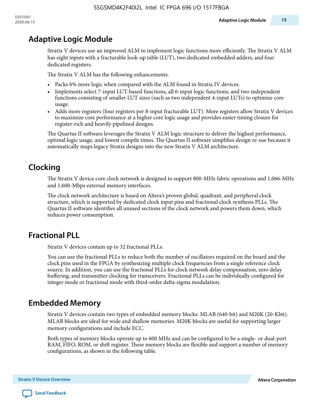### **Adaptive Logic Module**

Stratix V devices use an improved ALM to implement logic functions more efficiently. The Stratix V ALM has eight inputs with a fracturable look-up table (LUT), two dedicated embedded adders, and four dedicated registers.

The Stratix V ALM has the following enhancements:

- Packs 6% more logic when compared with the ALM found in Stratix IV devices.
- Implements select 7-input LUT-based functions, all 6-input logic functions, and two independent functions consisting of smaller LUT sizes (such as two independent 4-input LUTs) to optimize core usage.
- Adds more registers (four registers per 8-input fracturable LUT). More registers allow Stratix V devices to maximize core performance at a higher core logic usage and provides easier timing closure for register-rich and heavily pipelined designs.

The Quartus II software leverages the Stratix V ALM logic structure to deliver the highest performance, optimal logic usage, and lowest compile times. The Quartus II software simplifies design re-use because it automatically maps legacy Stratix designs into the new Stratix V ALM architecture.

### **Clocking**

The Stratix V device core clock network is designed to support 800-MHz fabric operations and 1,066-MHz and 1,600-Mbps external memory interfaces.

The clock network architecture is based on Altera's proven global, quadrant, and peripheral clock structure, which is supported by dedicated clock input pins and fractional clock synthesis PLLs. The Quartus II software identifies all unused sections of the clock network and powers them down, which reduces power consumption.

### **Fractional PLL**

Stratix V devices contain up to 32 fractional PLLs.

You can use the fractional PLLs to reduce both the number of oscillators required on the board and the clock pins used in the FPGA by synthesizing multiple clock frequencies from a single reference clock source. In addition, you can use the fractional PLLs for clock network delay compensation, zero delay buffering, and transmitter clocking for transceivers. Fractional PLLs can be individually configured for integer mode or fractional mode with third-order delta-sigma modulation.

### **Embedded Memory**

Stratix V devices contain two types of embedded memory blocks: MLAB (640-bit) and M20K (20-Kbit). MLAB blocks are ideal for wide and shallow memories. M20K blocks are useful for supporting larger memory configurations and include ECC.

Both types of memory blocks operate up to 600 MHz and can be configured to be a single- or dual-port RAM, FIFO, ROM, or shift register. These memory blocks are flexible and support a number of memory configurations, as shown in the following table.

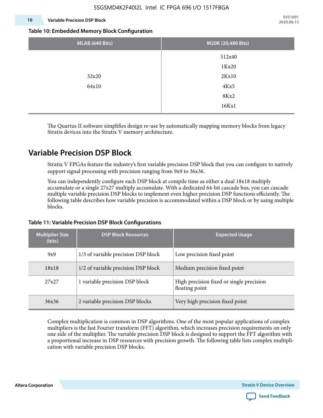#### **16 Variable Precision DSP Block**

**SV51001 2020.06.15**

#### **Table 10: Embedded Memory Block Configuration**

| MLAB (640 Bits) | M20K (20,480 Bits) |
|-----------------|--------------------|
|                 | 512x40             |
|                 | 1Kx20              |
| 32x20           | 2Kx10              |
| 64x10           | 4Kx5               |
|                 | 8Kx2               |
|                 | 16Kx1              |

The Quartus II software simplifies design re-use by automatically mapping memory blocks from legacy Stratix devices into the Stratix V memory architecture.

### **Variable Precision DSP Block**

Stratix V FPGAs feature the industry's first variable precision DSP block that you can configure to natively support signal processing with precision ranging from 9x9 to 36x36.

You can independently configure each DSP block at compile time as either a dual 18x18 multiply accumulate or a single 27x27 multiply accumulate. With a dedicated 64-bit cascade bus, you can cascade multiple variable precision DSP blocks to implement even higher precision DSP functions efficiently. The following table describes how variable precision is accommodated within a DSP block or by using multiple blocks.

| <b>Multiplier Size</b><br>(bits) | <b>DSP Block Resources</b>          | <b>Expected Usage</b>                                      |  |  |
|----------------------------------|-------------------------------------|------------------------------------------------------------|--|--|
| 9x9                              | 1/3 of variable precision DSP block | Low precision fixed point                                  |  |  |
| 18x18                            | 1/2 of variable precision DSP block | Medium precision fixed point                               |  |  |
| 27x27                            | 1 variable precision DSP block      | High precision fixed or single precision<br>floating point |  |  |
| 36x36                            | 2 variable precision DSP blocks     | Very high precision fixed point                            |  |  |

#### **Table 11: Variable Precision DSP Block Configurations**

Complex multiplication is common in DSP algorithms. One of the most popular applications of complex multipliers is the fast Fourier transform (FFT) algorithm, which increases precision requirements on only one side of the multiplier. The variable precision DSP block is designed to support the FFT algorithm with a proportional increase in DSP resources with precision growth. The following table lists complex multipli‐ cation with variable precision DSP blocks.

**Altera Corporation** 

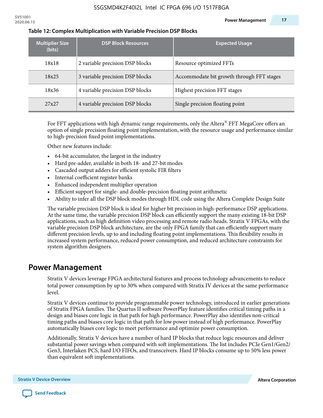| <b>Multiplier Size</b><br>(bits) | <b>DSP Block Resources</b>      | <b>Expected Usage</b>                     |
|----------------------------------|---------------------------------|-------------------------------------------|
| 18x18                            | 2 variable precision DSP blocks | Resource optimized FFTs                   |
| 18x25                            | 3 variable precision DSP blocks | Accommodate bit growth through FFT stages |
| 18x36                            | 4 variable precision DSP blocks | Highest precision FFT stages              |
| 27x27                            | 4 variable precision DSP blocks | Single precision floating point           |

#### **Table 12: Complex Multiplication with Variable Precision DSP Blocks**

For FFT applications with high dynamic range requirements, only the Altera $^\circ$  FFT MegaCore offers an option of single precision floating point implementation, with the resource usage and performance similar to high-precision fixed point implementations.

Other new features include:

- 64-bit accumulator, the largest in the industry
- Hard pre-adder, available in both 18- and 27-bit modes
- Cascaded output adders for efficient systolic FIR filters
- Internal coefficient register banks
- Enhanced independent multiplier operation
- Efficient support for single- and double-precision floating point arithmetic
- Ability to infer all the DSP block modes through HDL code using the Altera Complete Design Suite

The variable precision DSP block is ideal for higher bit precision in high-performance DSP applications. At the same time, the variable precision DSP block can efficiently support the many existing 18-bit DSP applications, such as high definition video processing and remote radio heads. Stratix V FPGAs, with the variable precision DSP block architecture, are the only FPGA family that can efficiently support many different precision levels, up to and including floating point implementations. This flexibility results in increased system performance, reduced power consumption, and reduced architecture constraints for system algorithm designers.

### **Power Management**

Stratix V devices leverage FPGA architectural features and process technology advancements to reduce total power consumption by up to 30% when compared with Stratix IV devices at the same performance level.

Stratix V devices continue to provide programmable power technology, introduced in earlier generations of Stratix FPGA families. The Quartus II software PowerPlay feature identifies critical timing paths in a design and biases core logic in that path for high performance. PowerPlay also identifies non-critical timing paths and biases core logic in that path for low power instead of high performance. PowerPlay automatically biases core logic to meet performance and optimize power consumption.

Additionally, Stratix V devices have a number of hard IP blocks that reduce logic resources and deliver substantial power savings when compared with soft implementations. The list includes PCIe Gen1/Gen2/ Gen3, Interlaken PCS, hard I/O FIFOs, and transceivers. Hard IP blocks consume up to 50% less power than equivalent soft implementations.

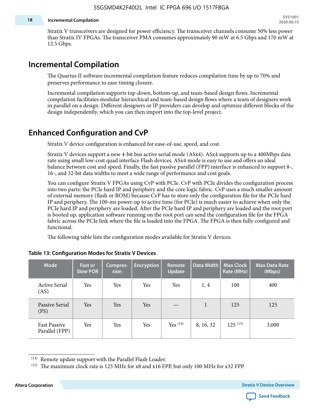#### **18 Incremental Compilation**

Stratix V transceivers are designed for power efficiency. The transceiver channels consume 50% less power than Stratix IV FPGAs. The transceiver PMA consumes approximately 90 mW at 6.5 Gbps and 170 mW at 12.5 Gbps.

### **Incremental Compilation**

The Quartus II software incremental compilation feature reduces compilation time by up to 70% and preserves performance to ease timing closure.

Incremental compilation supports top-down, bottom-up, and team-based design flows. Incremental compilation facilitates modular hierarchical and team-based design flows where a team of designers work in parallel on a design. Different designers or IP providers can develop and optimize different blocks of the design independently, which you can then import into the top-level project.

### **Enhanced Configuration and CvP**

Stratix V device configuration is enhanced for ease-of-use, speed, and cost.

Stratix V devices support a new 4-bit bus active serial mode (ASx4). ASx4 supports up to a 400Mbps data rate using small low-cost quad interface Flash devices. ASx4 mode is easy to use and offers an ideal balance between cost and speed. Finally, the fast passive parallel (FPP) interface is enhanced to support 8-, 16-, and 32-bit data widths to meet a wide range of performance and cost goals.

You can configure Stratix V FPGAs using CvP with PCIe. CvP with PCIe divides the configuration process into two parts: the PCIe hard IP and periphery and the core logic fabric. CvP uses a much smaller amount of external memory (flash or ROM) because CvP has to store only the configuration file for the PCIe hard IP and periphery. The 100-ms power-up to active time (for PCIe) is much easier to achieve when only the PCIe hard IP and periphery are loaded. After the PCIe hard IP and periphery are loaded and the root port is booted up, application software running on the root port can send the configuration file for the FPGA fabric across the PCIe link where the file is loaded into the FPGA. The FPGA is then fully configured and functional.

The following table lists the configuration modes available for Stratix V devices.

| <b>Mode</b>                           | <b>Fast or</b><br><b>Slow POR</b> | Compres-<br>sion | <b>Encryption</b> | Remote<br><b>Update</b> | Data Width | <b>Max Clock</b><br>Rate (MHz) | <b>Max Data Rate</b><br>(Mbps) |
|---------------------------------------|-----------------------------------|------------------|-------------------|-------------------------|------------|--------------------------------|--------------------------------|
| <b>Active Serial</b><br>(AS)          | Yes                               | Yes              | Yes               | Yes                     | 1, 4       | 100                            | 400                            |
| Passive Serial<br>(PS)                | Yes                               | Yes              | Yes               |                         | 1          | 125                            | 125                            |
| <b>Fast Passive</b><br>Parallel (FPP) | Yes                               | Yes              | Yes               | $Yes$ $(14)$            | 8, 16, 32  | $125^{(15)}$                   | 3,000                          |

#### **Table 13: Configuration Modes for Stratix V Devices**

**Altera Corporation Stratix V Device Overview**



<sup>(14)</sup> Remote update support with the Parallel Flash Loader.

<sup>&</sup>lt;sup>(15)</sup> The maximum clock rate is 125 MHz for x8 and x16 FPP, but only 100 MHz for x32 FPP.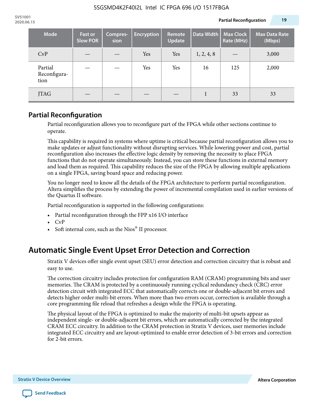| <b>Mode</b>                     | <b>Fast or</b><br><b>Slow POR</b> | Compres-<br>sion | <b>Encryption</b> | Remote<br><b>Update</b> | Data Width | <b>Max Clock</b><br>Rate (MHz) | <b>Max Data Rate</b><br>(Mbps) |
|---------------------------------|-----------------------------------|------------------|-------------------|-------------------------|------------|--------------------------------|--------------------------------|
| CvP                             |                                   |                  | Yes               | Yes                     | 1, 2, 4, 8 |                                | 3,000                          |
| Partial<br>Reconfigura-<br>tion |                                   |                  | Yes               | Yes                     | 16         | 125                            | 2,000                          |
| JTAG                            |                                   |                  |                   |                         |            | 33                             | 33                             |

### **Partial Reconfiguration**

Partial reconfiguration allows you to reconfigure part of the FPGA while other sections continue to operate.

This capability is required in systems where uptime is critical because partial reconfiguration allows you to make updates or adjust functionality without disrupting services. While lowering power and cost, partial reconfiguration also increases the effective logic density by removing the necessity to place FPGA functions that do not operate simultaneously. Instead, you can store these functions in external memory and load them as required. This capability reduces the size of the FPGA by allowing multiple applications on a single FPGA, saving board space and reducing power.

You no longer need to know all the details of the FPGA architecture to perform partial reconfiguration. Altera simplifies the process by extending the power of incremental compilation used in earlier versions of the Quartus II software.

Partial reconfiguration is supported in the following configurations:

- Partial reconfiguration through the FPP x16 I/O interface
- CvP
- Soft internal core, such as the Nios® II processor.

### **Automatic Single Event Upset Error Detection and Correction**

Stratix V devices offer single event upset (SEU) error detection and correction circuitry that is robust and easy to use.

The correction circuitry includes protection for configuration RAM (CRAM) programming bits and user memories. The CRAM is protected by a continuously running cyclical redundancy check (CRC) error detection circuit with integrated ECC that automatically corrects one or double-adjacent bit errors and detects higher order multi-bit errors. When more than two errors occur, correction is available through a core programming file reload that refreshes a design while the FPGA is operating.

The physical layout of the FPGA is optimized to make the majority of multi-bit upsets appear as independent single- or double-adjacent bit errors, which are automatically corrected by the integrated CRAM ECC circuitry. In addition to the CRAM protection in Stratix V devices, user memories include integrated ECC circuitry and are layout-optimized to enable error detection of 3-bit errors and correction for 2-bit errors.

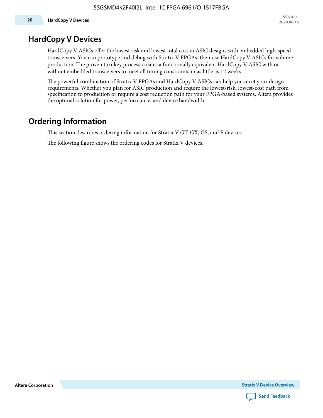### **HardCopy V Devices**

HardCopy V ASICs offer the lowest risk and lowest total cost in ASIC designs with embedded high-speed transceivers. You can prototype and debug with Stratix V FPGAs, then use HardCopy V ASICs for volume production. The proven turnkey process creates a functionally equivalent HardCopy V ASIC with or without embedded transceivers to meet all timing constraints in as little as 12 weeks.

The powerful combination of Stratix V FPGAs and HardCopy V ASICs can help you meet your design requirements. Whether you plan for ASIC production and require the lowest-risk, lowest-cost path from specification to production or require a cost reduction path for your FPGA-based systems, Altera provides the optimal solution for power, performance, and device bandwidth.

### **Ordering Information**

This section describes ordering information for Stratix V GT, GX, GS, and E devices.

The following figure shows the ordering codes for Stratix V devices.

**Altera Corporation** 

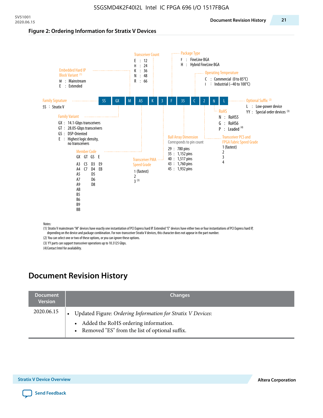#### **Figure 2: Ordering Information for Stratix V Devices**



(1) Stratix V mainstream "M" devices have exactly one instantiation of PCI Express hard IP. Extended "E" devices have either two or four instantiations of PCI Express hard IP, depending on the device and package combination. For non-transceiver Stratix V devices, this character does not appear in the part number.

(2) You can select one or two of these options, or you can ignore these options.

(3) YY parts can support transceiver operations up to 10.3125 Gbps.

(4) Contact Intel for availability.

### **Document Revision History**

| <b>Document</b><br><b>Version</b> | <b>Changes</b>                                                                                                                                            |
|-----------------------------------|-----------------------------------------------------------------------------------------------------------------------------------------------------------|
| 2020.06.15                        | Updated Figure: Ordering Information for Stratix V Devices:<br>• Added the RoHS ordering information.<br>• Removed "ES" from the list of optional suffix. |

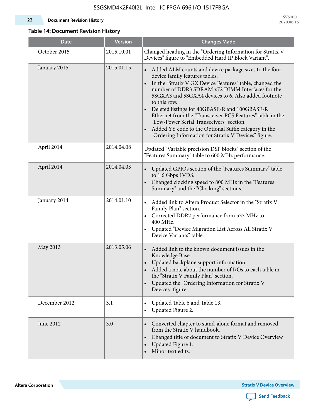#### **22 Document Revision History**

**SV51001 2020.06.15**

### **Table 14: Document Revision History**

| <b>Date</b>   | <b>Version</b> | <b>Changes Made</b>                                                                                                                                                                                                                                                                                                                                                                                                                                                                                                                                                   |
|---------------|----------------|-----------------------------------------------------------------------------------------------------------------------------------------------------------------------------------------------------------------------------------------------------------------------------------------------------------------------------------------------------------------------------------------------------------------------------------------------------------------------------------------------------------------------------------------------------------------------|
| October 2015  | 2015.10.01     | Changed heading in the "Ordering Information for Stratix V<br>Devices" figure to "Embedded Hard IP Block Variant".                                                                                                                                                                                                                                                                                                                                                                                                                                                    |
| January 2015  | 2015.01.15     | Added ALM counts and device package sizes to the four<br>$\bullet$<br>device family features tables.<br>In the "Stratix V GX Device Features" table, changed the<br>number of DDR3 SDRAM x72 DIMM Interfaces for the<br>5SGXA3 and 5SGXA4 devices to 6. Also added footnote<br>to this row.<br>Deleted listings for 40GBASE-R and 100GBASE-R<br>Ethernet from the "Transceiver PCS Features" table in the<br>"Low-Power Serial Transceivers" section.<br>Added YY code to the Optional Suffix category in the<br>"Ordering Information for Stratix V Devices" figure. |
| April 2014    | 2014.04.08     | Updated "Variable precision DSP blocks" section of the<br>"Features Summary" table to 600 MHz performance.                                                                                                                                                                                                                                                                                                                                                                                                                                                            |
| April 2014    | 2014.04.03     | Updated GPIOs section of the "Features Summary" table<br>$\bullet$<br>to 1.6 Gbps LVDS.<br>Changed clocking speed to 800 MHz in the "Features<br>Summary" and the "Clocking" sections.                                                                                                                                                                                                                                                                                                                                                                                |
| January 2014  | 2014.01.10     | Added link to Altera Product Selector in the "Stratix V<br>Family Plan" section.<br>Corrected DDR2 performance from 533 MHz to<br>$\bullet$<br>400 MHz.<br>Updated "Device Migration List Across All Stratix V<br>$\bullet$<br>Device Variants" table.                                                                                                                                                                                                                                                                                                                |
| May 2013      | 2013.05.06     | Added link to the known document issues in the<br>Knowledge Base.<br>Updated backplane support information.<br>$\bullet$<br>Added a note about the number of I/Os to each table in<br>the "Stratix V Family Plan" section.<br>Updated the "Ordering Information for Stratix V<br>$\bullet$<br>Devices" figure.                                                                                                                                                                                                                                                        |
| December 2012 | 3.1            | Updated Table 6 and Table 13.<br>$\bullet$<br>Updated Figure 2.<br>$\bullet$                                                                                                                                                                                                                                                                                                                                                                                                                                                                                          |
| June 2012     | 3.0            | Converted chapter to stand-alone format and removed<br>$\bullet$<br>from the Stratix V handbook.<br>Changed title of document to Stratix V Device Overview<br>$\bullet$<br>Updated Figure 1.<br>Minor text edits.                                                                                                                                                                                                                                                                                                                                                     |

**Altera Corporation** 

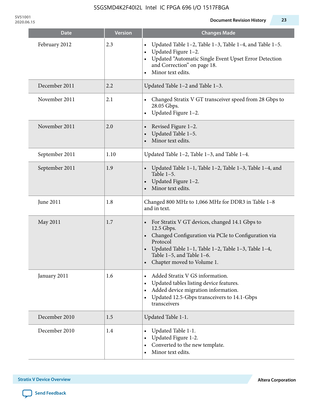**SV51001**

| <b>Date</b>    | <b>Version</b> | <b>Changes Made</b>                                                                                                                                                                                                                                   |
|----------------|----------------|-------------------------------------------------------------------------------------------------------------------------------------------------------------------------------------------------------------------------------------------------------|
| February 2012  | 2.3            | Updated Table 1-2, Table 1-3, Table 1-4, and Table 1-5.<br>Updated Figure 1-2.<br>Updated "Automatic Single Event Upset Error Detection<br>and Correction" on page 18.<br>Minor text edits.                                                           |
| December 2011  | 2.2            | Updated Table 1-2 and Table 1-3.                                                                                                                                                                                                                      |
| November 2011  | 2.1            | Changed Stratix V GT transceiver speed from 28 Gbps to<br>28.05 Gbps.<br>Updated Figure 1-2.                                                                                                                                                          |
| November 2011  | 2.0            | Revised Figure 1-2.<br>Updated Table 1-5.<br>Minor text edits.                                                                                                                                                                                        |
| September 2011 | 1.10           | Updated Table 1-2, Table 1-3, and Table 1-4.                                                                                                                                                                                                          |
| September 2011 | 1.9            | Updated Table 1-1, Table 1-2, Table 1-3, Table 1-4, and<br>Table $1-5$ .<br>Updated Figure 1-2.<br>Minor text edits.                                                                                                                                  |
| June 2011      | 1.8            | Changed 800 MHz to 1,066 MHz for DDR3 in Table 1-8<br>and in text.                                                                                                                                                                                    |
| May 2011       | 1.7            | For Stratix V GT devices, changed 14.1 Gbps to<br>12.5 Gbps.<br>• Changed Configuration via PCIe to Configuration via<br>Protocol<br>Updated Table 1-1, Table 1-2, Table 1-3, Table 1-4,<br>Table 1-5, and Table 1-6.<br>• Chapter moved to Volume 1. |
| January 2011   | 1.6            | Added Stratix V GS information.<br>Updated tables listing device features.<br>Added device migration information.<br>Updated 12.5-Gbps transceivers to 14.1-Gbps<br>transceivers                                                                      |
| December 2010  | 1.5            | Updated Table 1-1.                                                                                                                                                                                                                                    |
| December 2010  | 1.4            | Updated Table 1-1.<br>Updated Figure 1-2.<br>Converted to the new template.<br>Minor text edits.                                                                                                                                                      |

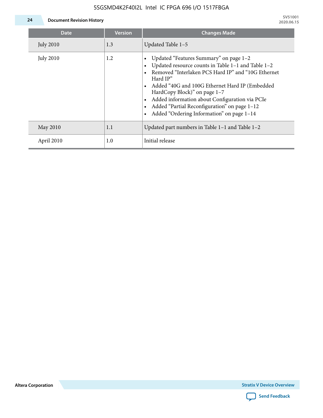### 5SGSMD4K2F40I2L Intel IC FPGA 696 I/O 1517FBGA



**24 Document Revision History**

| <b>Date</b>      | <b>Version</b> | <b>Changes Made</b>                                                                                                                                                                                                                                                                                                                                                                             |
|------------------|----------------|-------------------------------------------------------------------------------------------------------------------------------------------------------------------------------------------------------------------------------------------------------------------------------------------------------------------------------------------------------------------------------------------------|
| <b>July 2010</b> | 1.3            | Updated Table 1-5                                                                                                                                                                                                                                                                                                                                                                               |
| <b>July 2010</b> | 1.2            | Updated "Features Summary" on page 1-2<br>Updated resource counts in Table 1-1 and Table 1-2<br>Removed "Interlaken PCS Hard IP" and "10G Ethernet<br>Hard IP"<br>Added "40G and 100G Ethernet Hard IP (Embedded<br>HardCopy Block)" on page 1-7<br>Added information about Configuration via PCIe<br>Added "Partial Reconfiguration" on page 1-12<br>Added "Ordering Information" on page 1-14 |
| May 2010         | 1.1            | Updated part numbers in Table $1-1$ and Table $1-2$                                                                                                                                                                                                                                                                                                                                             |
| April 2010       | 1.0            | Initial release                                                                                                                                                                                                                                                                                                                                                                                 |

**Altera Corporation**